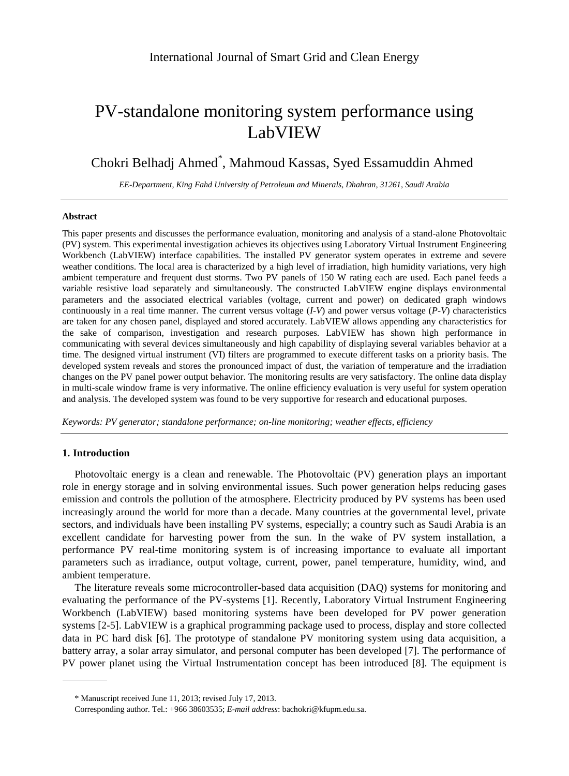# PV-standalone monitoring system performance using LabVIEW

Chokri Belhadj Ahmed<sup>\*</sup>, Mahmoud Kassas, Syed Essamuddin Ahmed

*EE-Department, King Fahd University of Petroleum and Minerals, Dhahran, 31261, Saudi Arabia*

## **Abstract**

This paper presents and discusses the performance evaluation, monitoring and analysis of a stand-alone Photovoltaic (PV) system. This experimental investigation achieves its objectives using Laboratory Virtual Instrument Engineering Workbench (LabVIEW) interface capabilities. The installed PV generator system operates in extreme and severe weather conditions. The local area is characterized by a high level of irradiation, high humidity variations, very high ambient temperature and frequent dust storms. Two PV panels of 150 W rating each are used. Each panel feeds a variable resistive load separately and simultaneously. The constructed LabVIEW engine displays environmental parameters and the associated electrical variables (voltage, current and power) on dedicated graph windows continuously in a real time manner. The current versus voltage  $(I-V)$  and power versus voltage  $(P-V)$  characteristics are taken for any chosen panel, displayed and stored accurately. LabVIEW allows appending any characteristics for the sake of comparison, investigation and research purposes. LabVIEW has shown high performance in communicating with several devices simultaneously and high capability of displaying several variables behavior at a time. The designed virtual instrument (VI) filters are programmed to execute different tasks on a priority basis. The developed system reveals and stores the pronounced impact of dust, the variation of temperature and the irradiation changes on the PV panel power output behavior. The monitoring results are very satisfactory. The online data display in multi-scale window frame is very informative. The online efficiency evaluation is very useful for system operation and analysis. The developed system was found to be very supportive for research and educational purposes.

*Keywords: PV generator; standalone performance; on-line monitoring; weather effects, efficiency*

# **1. Introduction**

Photovoltaic energy is a clean and renewable. The Photovoltaic (PV) generation plays an important role in energy storage and in solving environmental issues. Such power generation helps reducing gases emission and controls the pollution of the atmosphere. Electricity produced by PV systems has been used increasingly around the world for more than a decade. Many countries at the governmental level, private sectors, and individuals have been installing PV systems, especially; a country such as Saudi Arabia is an excellent candidate for harvesting power from the sun. In the wake of PV system installation, a performance PV real-time monitoring system is of increasing importance to evaluate all important parameters such as irradiance, output voltage, current, power, panel temperature, humidity, wind, and ambient temperature.

The literature reveals some microcontroller-based data acquisition (DAQ) systems for monitoring and evaluating the performance of the PV-systems [1]. Recently, Laboratory Virtual Instrument Engineering Workbench (LabVIEW) based monitoring systems have been developed for PV power generation systems [2-5]. LabVIEW is a graphical programming package used to process, display and store collected data in PC hard disk [6]. The prototype of standalone PV monitoring system using data acquisition, a battery array, a solar array simulator, and personal computer has been developed [7]. The performance of PV power planet using the Virtual Instrumentation concept has been introduced [8]. The equipment is

<sup>\*</sup> Manuscript received June 11, 2013; revised July 17, 2013.

Corresponding author. Tel.: +966 38603535; *E-mail address*: bachokri@kfupm.edu.sa.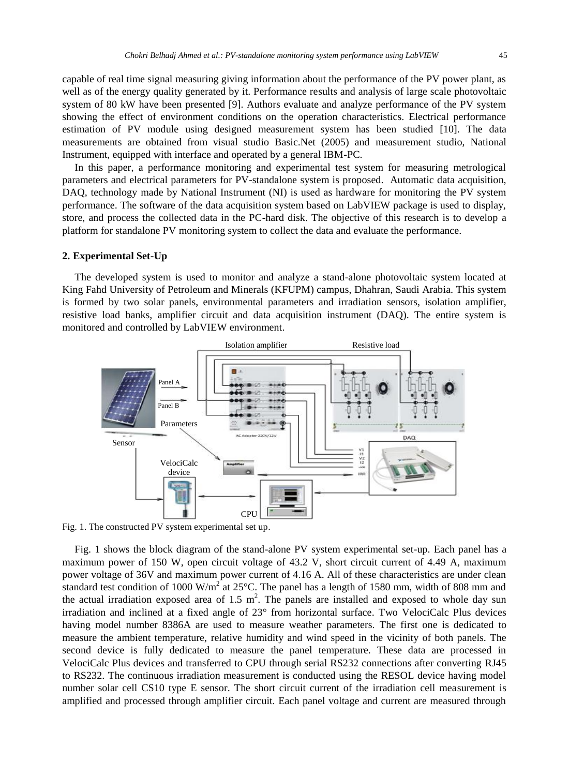capable of real time signal measuring giving information about the performance of the PV power plant, as well as of the energy quality generated by it. Performance results and analysis of large scale photovoltaic system of 80 kW have been presented [9]. Authors evaluate and analyze performance of the PV system showing the effect of environment conditions on the operation characteristics. Electrical performance estimation of PV module using designed measurement system has been studied [10]. The data measurements are obtained from visual studio Basic.Net (2005) and measurement studio, National Instrument, equipped with interface and operated by a general IBM-PC.

In this paper, a performance monitoring and experimental test system for measuring metrological parameters and electrical parameters for PV-standalone system is proposed. Automatic data acquisition, DAQ, technology made by National Instrument (NI) is used as hardware for monitoring the PV system performance. The software of the data acquisition system based on LabVIEW package is used to display, store, and process the collected data in the PC-hard disk. The objective of this research is to develop a platform for standalone PV monitoring system to collect the data and evaluate the performance.

#### **2. Experimental Set-Up**

The developed system is used to monitor and analyze a stand-alone photovoltaic system located at King Fahd University of Petroleum and Minerals (KFUPM) campus, Dhahran, Saudi Arabia. This system is formed by two solar panels, environmental parameters and irradiation sensors, isolation amplifier, resistive load banks, amplifier circuit and data acquisition instrument (DAQ). The entire system is monitored and controlled by LabVIEW environment.



Fig. 1. The constructed PV system experimental set up.

Fig. 1 shows the block diagram of the stand-alone PV system experimental set-up. Each panel has a maximum power of 150 W, open circuit voltage of 43.2 V, short circuit current of 4.49 A, maximum power voltage of 36V and maximum power current of 4.16 A. All of these characteristics are under clean standard test condition of 1000 W/m<sup>2</sup> at 25 °C. The panel has a length of 1580 mm, width of 808 mm and the actual irradiation exposed area of 1.5  $m^2$ . The panels are installed and exposed to whole day sun irradiation and inclined at a fixed angle of 23° from horizontal surface. Two VelociCalc Plus devices having model number 8386A are used to measure weather parameters. The first one is dedicated to measure the ambient temperature, relative humidity and wind speed in the vicinity of both panels. The second device is fully dedicated to measure the panel temperature. These data are processed in VelociCalc Plus devices and transferred to CPU through serial RS232 connections after converting RJ45 to RS232. The continuous irradiation measurement is conducted using the RESOL device having model number solar cell CS10 type E sensor. The short circuit current of the irradiation cell measurement is amplified and processed through amplifier circuit. Each panel voltage and current are measured through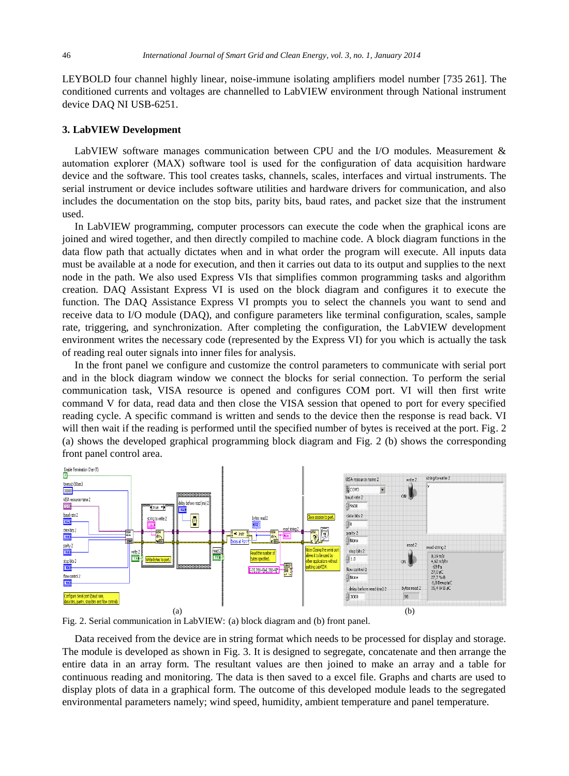LEYBOLD four channel highly linear, noise-immune isolating amplifiers model number [735 261]. The conditioned currents and voltages are channelled to LabVIEW environment through National instrument device DAQ NI USB-6251.

#### **3. LabVIEW Development**

LabVIEW software manages communication between CPU and the I/O modules. Measurement & automation explorer (MAX) software tool is used for the configuration of data acquisition hardware device and the software. This tool creates tasks, channels, scales, interfaces and virtual instruments. The serial instrument or device includes software utilities and hardware drivers for communication, and also includes the documentation on the stop bits, parity bits, baud rates, and packet size that the instrument used.

In LabVIEW programming, computer processors can execute the code when the graphical icons are joined and wired together, and then directly compiled to machine code. A block diagram functions in the data flow path that actually dictates when and in what order the program will execute. All inputs data must be available at a node for execution, and then it carries out data to its output and supplies to the next node in the path. We also used Express VIs that simplifies common programming tasks and algorithm creation. DAQ Assistant Express VI is used on the block diagram and configures it to execute the function. The DAQ Assistance Express VI prompts you to select the channels you want to send and receive data to I/O module (DAQ), and configure parameters like terminal configuration, scales, sample rate, triggering, and synchronization. After completing the configuration, the LabVIEW development environment writes the necessary code (represented by the Express VI) for you which is actually the task of reading real outer signals into inner files for analysis.

In the front panel we configure and customize the control parameters to communicate with serial port and in the block diagram window we connect the blocks for serial connection. To perform the serial communication task, VISA resource is opened and configures COM port. VI will then first write command V for data, read data and then close the VISA session that opened to port for every specified reading cycle. A specific command is written and sends to the device then the response is read back. VI will then wait if the reading is performed until the specified number of bytes is received at the port. Fig. 2 (a) shows the developed graphical programming block diagram and Fig. 2 (b) shows the corresponding front panel control area.



Fig. 2. Serial communication in LabVIEW: (a) block diagram and (b) front panel.

Data received from the device are in string format which needs to be processed for display and storage. The module is developed as shown in Fig. 3. It is designed to segregate, concatenate and then arrange the entire data in an array form. The resultant values are then joined to make an array and a table for continuous reading and monitoring. The data is then saved to a excel file. Graphs and charts are used to display plots of data in a graphical form. The outcome of this developed module leads to the segregated environmental parameters namely; wind speed, humidity, ambient temperature and panel temperature.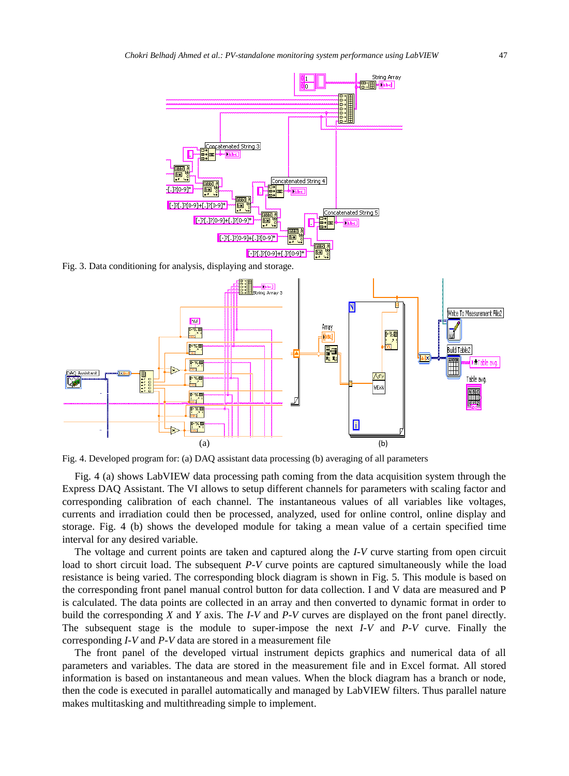

Fig. 4. Developed program for: (a) DAQ assistant data processing (b) averaging of all parameters

Fig. 4 (a) shows LabVIEW data processing path coming from the data acquisition system through the Express DAQ Assistant. The VI allows to setup different channels for parameters with scaling factor and corresponding calibration of each channel. The instantaneous values of all variables like voltages, currents and irradiation could then be processed, analyzed, used for online control, online display and storage. Fig. 4 (b) shows the developed module for taking a mean value of a certain specified time interval for any desired variable.

The voltage and current points are taken and captured along the *I-V* curve starting from open circuit load to short circuit load. The subsequent *P-V* curve points are captured simultaneously while the load resistance is being varied. The corresponding block diagram is shown in Fig. 5. This module is based on the corresponding front panel manual control button for data collection. I and V data are measured and P is calculated. The data points are collected in an array and then converted to dynamic format in order to build the corresponding *X* and *Y* axis. The *I-V* and *P-V* curves are displayed on the front panel directly. The subsequent stage is the module to super-impose the next *I-V* and *P-V* curve. Finally the corresponding *I-V* and *P-V* data are stored in a measurement file

The front panel of the developed virtual instrument depicts graphics and numerical data of all parameters and variables. The data are stored in the measurement file and in Excel format. All stored information is based on instantaneous and mean values. When the block diagram has a branch or node, then the code is executed in parallel automatically and managed by LabVIEW filters. Thus parallel nature makes multitasking and multithreading simple to implement.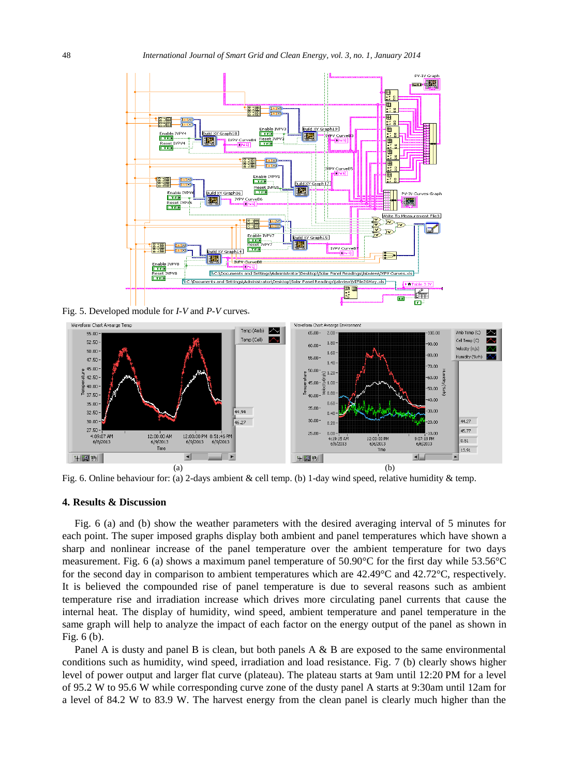

Fig. 5. Developed module for *I-V* and *P-V* curves .



Fig. 6. Online behaviour for: (a) 2-days ambient & cell temp. (b) 1- day wind speed, relative humidity & temp.

# **4. Results & Discussion**

Fig. 6 (a) and (b) show the weather parameters with the desired averaging interval of 5 minutes for each point. The super imposed graphs display both ambient and panel temperatures which have shown a sharp and nonlinear increase of the panel temperature over the ambient temperature for two days measurement. Fig. 6 (a) shows a maximum panel temperature of 50.90 °C for the first day while 53.56 °C for the second day in comparison to ambient temperatures which are  $42.49$ °C and  $42.72$ °C, respectively. It is believed the compounded rise of panel temperature is due to several reasons such as ambient temperature rise and irradiation increase which drives more circulating panel currents that cause the internal heat. The display of humidity, wind speed, ambient temperature and panel temperature in the same graph will help to analyze the impact of each factor on the energy output of the panel as shown in Fig. 6 (b).

Panel A is dusty and panel B is clean, but both panels A & B are exposed to the same environmental conditions such as humidity, wind speed, irradiation and load resistance. Fig. 7 (b) clearly shows higher level of power output and larger flat curve (plateau). The plateau starts at 9am until 12:20 PM for a level of 95.2 W to 95.6 W while corresponding curve zone of the dusty panel A starts at 9:30am until 12am for a level of 84.2 W to 83.9 W. The harvest energy from the clean panel is clearly much higher than the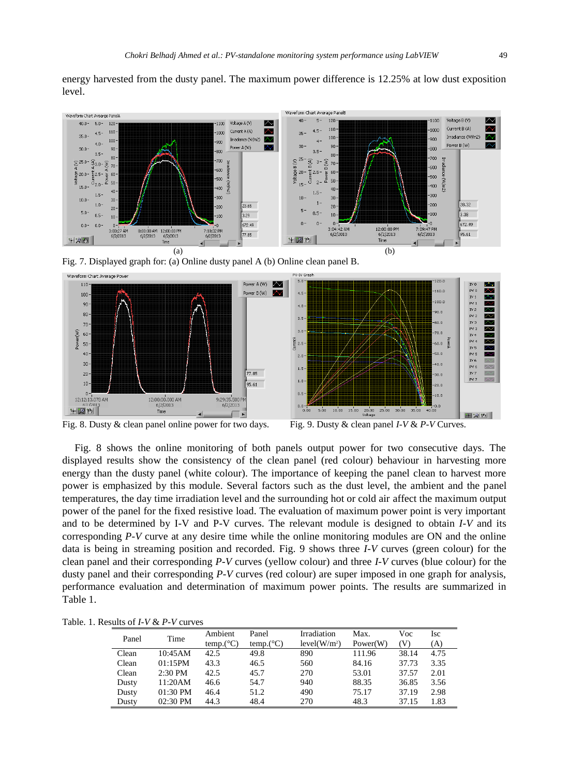energy harvested from the dusty panel. The maximum power difference is 12.25% at low dust exposition level.



Fig. 7. Displayed graph for: (a) Online dusty panel A (b) Online clean panel B.



Fig. 8. Dusty & clean panel online power for two days. Fig. 9. Dusty & clean panel *I-V* & *P-V* Curves.

Fig. 8 shows the online monitoring of both panels output power for two consecutive days. The displayed results show the consistency of the clean panel (red colour) behaviour in harvesting more energy than the dusty panel (white colour). The importance of keeping the panel clean to harvest more power is emphasized by this module. Several factors such as the dust level, the ambient and the panel temperatures, the day time irradiation level and the surrounding hot or cold air affect the maximum output power of the panel for the fixed resistive load. The evaluation of maximum power point is very important and to be determined by I-V and P-V curves. The relevant module is designed to obtain *I-V* and its corresponding *P-V* curve at any desire time while the online monitoring modules are ON and the online data is being in streaming position and recorded. Fig. 9 shows three *I-V* curves (green colour) for the clean panel and their corresponding *P-V* curves (yellow colour) and three *I-V* curves (blue colour) for the dusty panel and their corresponding *P-V* curves (red colour) are super imposed in one graph for analysis, performance evaluation and determination of maximum power points. The results are summarized in Table 1.

Table. 1. Results of *I-V* & *P-V* curves

| Panel | Time       | Ambient<br>temp. $(C)$ | Panel<br>temp. $(C)$ | Irradiation<br>level(W/m <sup>2</sup> ) | Max.<br>Power(W) | Voc<br>(V) | Isc<br>(A) |
|-------|------------|------------------------|----------------------|-----------------------------------------|------------------|------------|------------|
| Clean | 10:45AM    | 42.5                   | 49.8                 | 890                                     | 111.96           | 38.14      | 4.75       |
| Clean | 01:15PM    | 43.3                   | 46.5                 | 560                                     | 84.16            | 37.73      | 3.35       |
| Clean | $2:30$ PM  | 42.5                   | 45.7                 | 270                                     | 53.01            | 37.57      | 2.01       |
| Dusty | 11:20AM    | 46.6                   | 54.7                 | 940                                     | 88.35            | 36.85      | 3.56       |
| Dusty | 01:30 PM   | 46.4                   | 51.2                 | 490                                     | 75.17            | 37.19      | 2.98       |
| Dusty | $02:30$ PM | 44.3                   | 48.4                 | 270                                     | 48.3             | 37.15      | 1.83       |